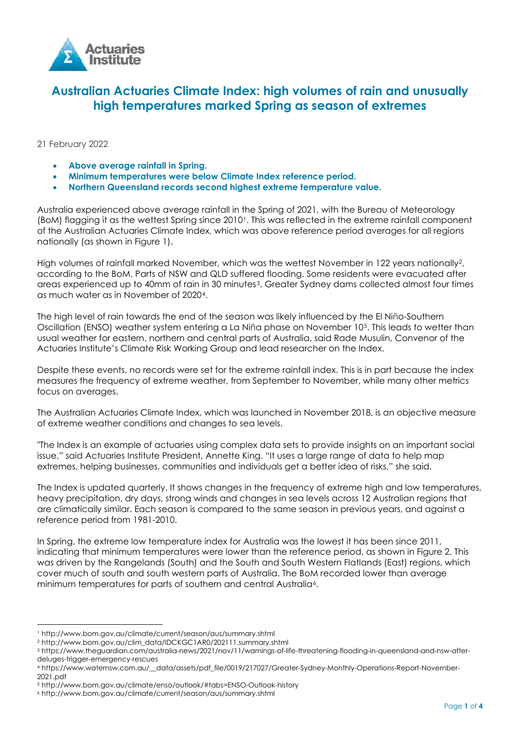

# **Australian Actuaries Climate Index: high volumes of rain and unusually high temperatures marked Spring as season of extremes**

## 21 February 2022

- **Above average rainfall in Spring.**
- **Minimum temperatures were below Climate Index reference period.**
- **Northern Queensland records second highest extreme temperature value.**

Australia experienced above average rainfall in the Spring of 2021, with the Bureau of Meteorology (BoM) flagging it as the wettest Spring since 2010[1](#page-0-0). This was reflected in the extreme rainfall component of the Australian Actuaries Climate Index, which was above reference period averages for all regions nationally (as shown in Figure 1).

High volumes of rainfall marked November, which was the wettest November in 1[2](#page-0-1)2 years nationally<sup>2</sup>, according to the BoM. Parts of NSW and QLD suffered flooding. Some residents were evacuated after areas experienced up to 40mm of rain in 30 minutes<sup>3</sup>. Greater Sydney dams collected almost four times as much water as in November of 2020[4](#page-0-3).

The high level of rain towards the end of the season was likely influenced by the El Niño-Southern Oscillation (ENSO) weather system entering a La Niña phase on November 10[5](#page-0-4). This leads to wetter than usual weather for eastern, northern and central parts of Australia, said Rade Musulin, Convenor of the Actuaries Institute's Climate Risk Working Group and lead researcher on the Index.

Despite these events, no records were set for the extreme rainfall index. This is in part because the index measures the frequency of extreme weather, from September to November, while many other metrics focus on averages.

The Australian Actuaries Climate Index, which was launched in November 2018, is an objective measure of extreme weather conditions and changes to sea levels.

"The Index is an example of actuaries using complex data sets to provide insights on an important social issue," said Actuaries Institute President, Annette King. "It uses a large range of data to help map extremes, helping businesses, communities and individuals get a better idea of risks," she said.

The Index is updated quarterly. It shows changes in the frequency of extreme high and low temperatures, heavy precipitation, dry days, strong winds and changes in sea levels across 12 Australian regions that are climatically similar. Each season is compared to the same season in previous years, and against a reference period from 1981-2010.

In Spring, the extreme low temperature index for Australia was the lowest it has been since 2011, indicating that minimum temperatures were lower than the reference period, as shown in Figure 2. This was driven by the Rangelands (South) and the South and South Western Flatlands (East) regions, which cover much of south and south western parts of Australia. The BoM recorded lower than average minimum temperatures for parts of southern and central Australia<sup>6</sup>.

<span id="page-0-0"></span><sup>1</sup> http://www.bom.gov.au/climate/current/season/aus/summary.shtml

<span id="page-0-1"></span><sup>2</sup> http://www.bom.gov.au/clim\_data/IDCKGC1AR0/202111.summary.shtml

<span id="page-0-2"></span><sup>3</sup> https://www.theguardian.com/australia-news/2021/nov/11/warnings-of-life-threatening-flooding-in-queensland-and-nsw-afterdeluges-trigger-emergency-rescues

<span id="page-0-3"></span><sup>4</sup> https://www.waternsw.com.au/\_\_data/assets/pdf\_file/0019/217027/Greater-Sydney-Monthly-Operations-Report-November-2021.pdf

<span id="page-0-4"></span><sup>5</sup> http://www.bom.gov.au/climate/enso/outlook/#tabs=ENSO-Outlook-history

<span id="page-0-5"></span><sup>6</sup> http://www.bom.gov.au/climate/current/season/aus/summary.shtml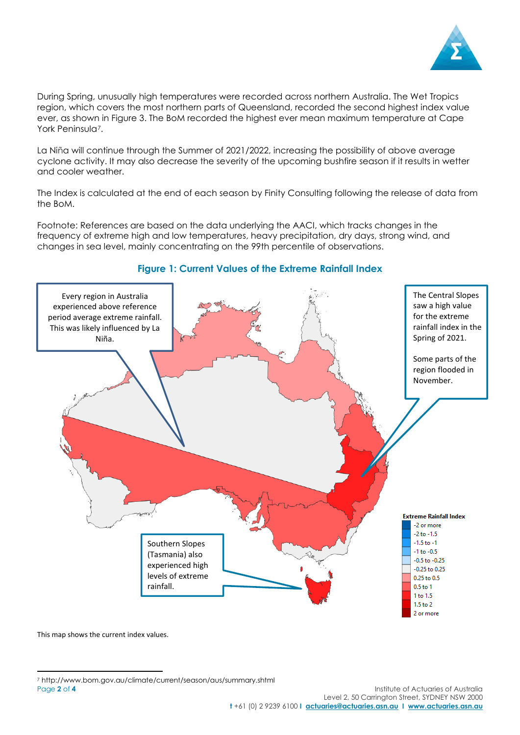

During Spring, unusually high temperatures were recorded across northern Australia. The Wet Tropics region, which covers the most northern parts of Queensland, recorded the second highest index value ever, as shown in Figure 3. The BoM recorded the highest ever mean maximum temperature at Cape York Peninsula<sup>[7](#page-1-0)</sup>.

La Niña will continue through the Summer of 2021/2022, increasing the possibility of above average cyclone activity. It may also decrease the severity of the upcoming bushfire season if it results in wetter and cooler weather.

The Index is calculated at the end of each season by Finity Consulting following the release of data from the BoM.

Footnote: References are based on the data underlying the AACI, which tracks changes in the frequency of extreme high and low temperatures, heavy precipitation, dry days, strong wind, and changes in sea level, mainly concentrating on the 99th percentile of observations.



## **Figure 1: Current Values of the Extreme Rainfall Index**

This map shows the current index values.

<span id="page-1-0"></span>Page 2 of 4 **Institute of Actuaries of Australia** <sup>7</sup> http://www.bom.gov.au/climate/current/season/aus/summary.shtml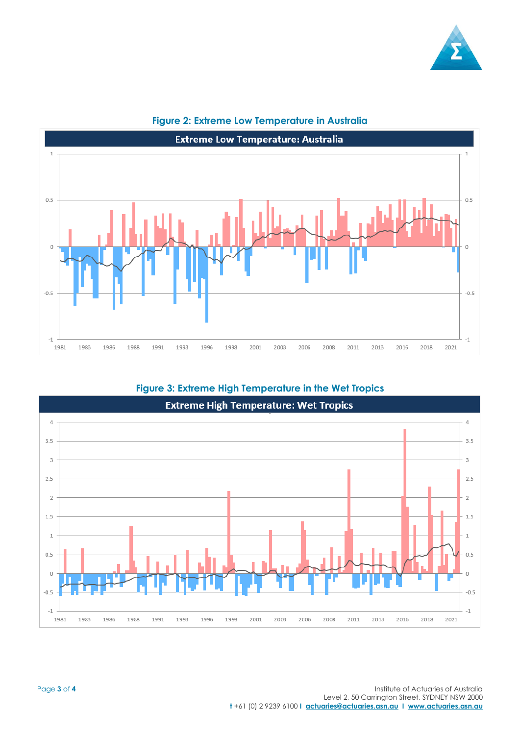



## **Figure 2: Extreme Low Temperature in Australia**

**Figure 3: Extreme High Temperature in the Wet Tropics**